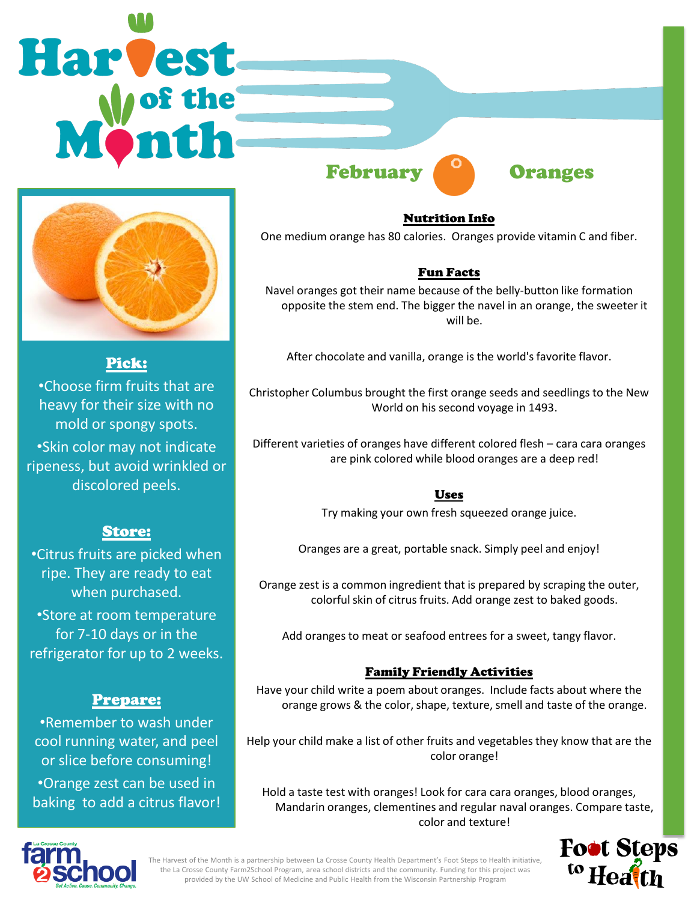# Harvest February **Oranges**



# Pick:

•Choose firm fruits that are heavy for their size with no mold or spongy spots. •Skin color may not indicate ripeness, but avoid wrinkled or discolored peels.

## Store:

•Citrus fruits are picked when ripe. They are ready to eat when purchased. •Store at room temperature

for 7-10 days or in the refrigerator for up to 2 weeks.

# Prepare:

•Remember to wash under cool running water, and peel or slice before consuming! •Orange zest can be used in baking to add a citrus flavor!

### Nutrition Info

One medium orange has 80 calories. Oranges provide vitamin C and fiber.

## Fun Facts

Navel oranges got their name because of the belly-button like formation opposite the stem end. The bigger the navel in an orange, the sweeter it will be.

After chocolate and vanilla, orange is the world's favorite flavor.

Christopher Columbus brought the first orange seeds and seedlings to the New World on his second voyage in 1493.

Different varieties of oranges have different colored flesh – cara cara oranges are pink colored while blood oranges are a deep red!

#### Uses

Try making your own fresh squeezed orange juice.

Oranges are a great, portable snack. Simply peel and enjoy!

Orange zest is a common ingredient that is prepared by scraping the outer, colorful skin of citrus fruits. Add orange zest to baked goods.

Add oranges to meat or seafood entrees for a sweet, tangy flavor.

#### Family Friendly Activities

Have your child write a poem about oranges. Include facts about where the orange grows & the color, shape, texture, smell and taste of the orange.

Help your child make a list of other fruits and vegetables they know that are the color orange!

Hold a taste test with oranges! Look for cara cara oranges, blood oranges, Mandarin oranges, clementines and regular naval oranges. Compare taste, color and texture!





The Harvest of the Month is a partnership between La Crosse County Health Department's Foot Steps to Health initiative, the La Crosse County Farm2School Program, area school districts and the community. Funding for this project was provided by the UW School of Medicine and Public Health from the Wisconsin Partnership Program